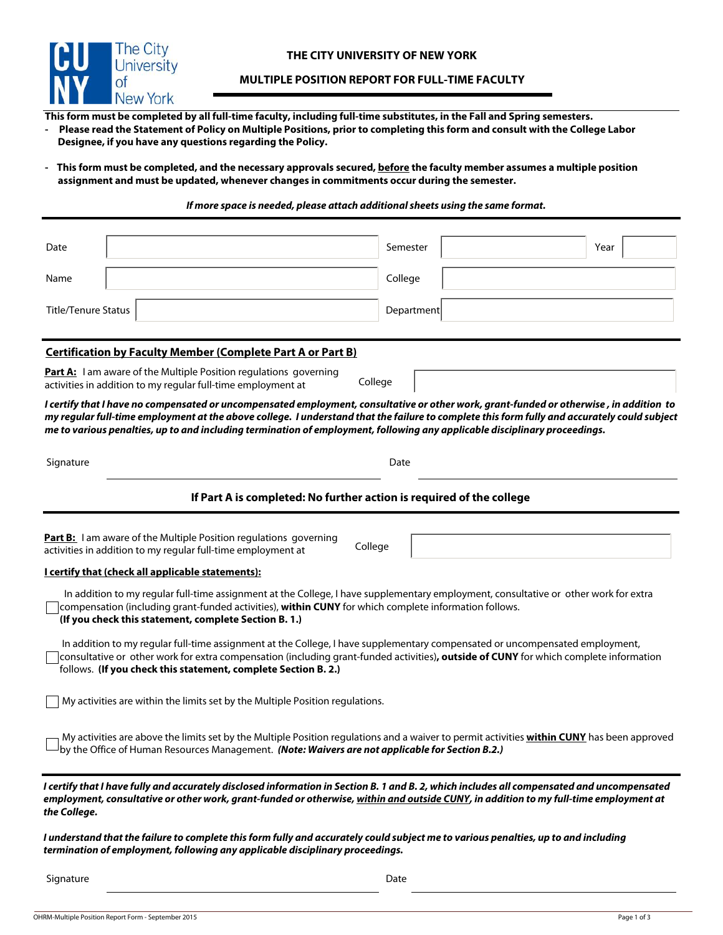

## **MULTIPLE POSITION REPORT FOR FULL-TIME FACULTY**

**This form must be completed by all full-time faculty, including full-time substitutes, in the Fall and Spring semesters.** 

**- Please read the Statement of Policy on Multiple Positions, prior to completing this form and consult with the College Labor Designee, if you have any questions regarding the Policy.** 

- This form must be completed, and the necessary approvals secured, before the faculty member assumes a multiple position  **assignment and must be updated, whenever changes in commitments occur during the semester.** 

## *If more space is needed, please attach additional sheets using the same format.*

| Date                                                                                                                                                                                                                                                                                                                                                                                                                   | Semester   | Year |  |  |
|------------------------------------------------------------------------------------------------------------------------------------------------------------------------------------------------------------------------------------------------------------------------------------------------------------------------------------------------------------------------------------------------------------------------|------------|------|--|--|
| Name                                                                                                                                                                                                                                                                                                                                                                                                                   | College    |      |  |  |
| <b>Title/Tenure Status</b>                                                                                                                                                                                                                                                                                                                                                                                             | Department |      |  |  |
| <b>Certification by Faculty Member (Complete Part A or Part B)</b>                                                                                                                                                                                                                                                                                                                                                     |            |      |  |  |
| <b>Part A:</b> I am aware of the Multiple Position regulations governing<br>College<br>activities in addition to my regular full-time employment at                                                                                                                                                                                                                                                                    |            |      |  |  |
| I certify that I have no compensated or uncompensated employment, consultative or other work, grant-funded or otherwise , in addition to<br>my regular full-time employment at the above college. I understand that the failure to complete this form fully and accurately could subject<br>me to various penalties, up to and including termination of employment, following any applicable disciplinary proceedings. |            |      |  |  |
| Signature                                                                                                                                                                                                                                                                                                                                                                                                              | Date       |      |  |  |
| If Part A is completed: No further action is required of the college                                                                                                                                                                                                                                                                                                                                                   |            |      |  |  |
| Part B: I am aware of the Multiple Position regulations governing<br>College<br>activities in addition to my regular full-time employment at                                                                                                                                                                                                                                                                           |            |      |  |  |
| I certify that (check all applicable statements):                                                                                                                                                                                                                                                                                                                                                                      |            |      |  |  |
| In addition to my regular full-time assignment at the College, I have supplementary employment, consultative or other work for extra<br>compensation (including grant-funded activities), within CUNY for which complete information follows.<br>(If you check this statement, complete Section B. 1.)                                                                                                                 |            |      |  |  |
| In addition to my regular full-time assignment at the College, I have supplementary compensated or uncompensated employment,<br>consultative or other work for extra compensation (including grant-funded activities), outside of CUNY for which complete information<br>follows. (If you check this statement, complete Section B. 2.)                                                                                |            |      |  |  |
| My activities are within the limits set by the Multiple Position regulations.                                                                                                                                                                                                                                                                                                                                          |            |      |  |  |
| My activities are above the limits set by the Multiple Position regulations and a waiver to permit activities within CUNY has been approved<br>by the Office of Human Resources Management. (Note: Waivers are not applicable for Section B.2.)                                                                                                                                                                        |            |      |  |  |
| I certify that I have fully and accurately disclosed information in Section B. 1 and B. 2, which includes all compensated and uncompensated<br>employment, consultative or other work, grant-funded or otherwise, within and outside CUNY, in addition to my full-time employment at<br>the College.                                                                                                                   |            |      |  |  |
| I understand that the failure to complete this form fully and accurately could subject me to various penalties, up to and including<br>termination of employment, following any applicable disciplinary proceedings.                                                                                                                                                                                                   |            |      |  |  |

Signature Date Date Communications and the Date Date Date Date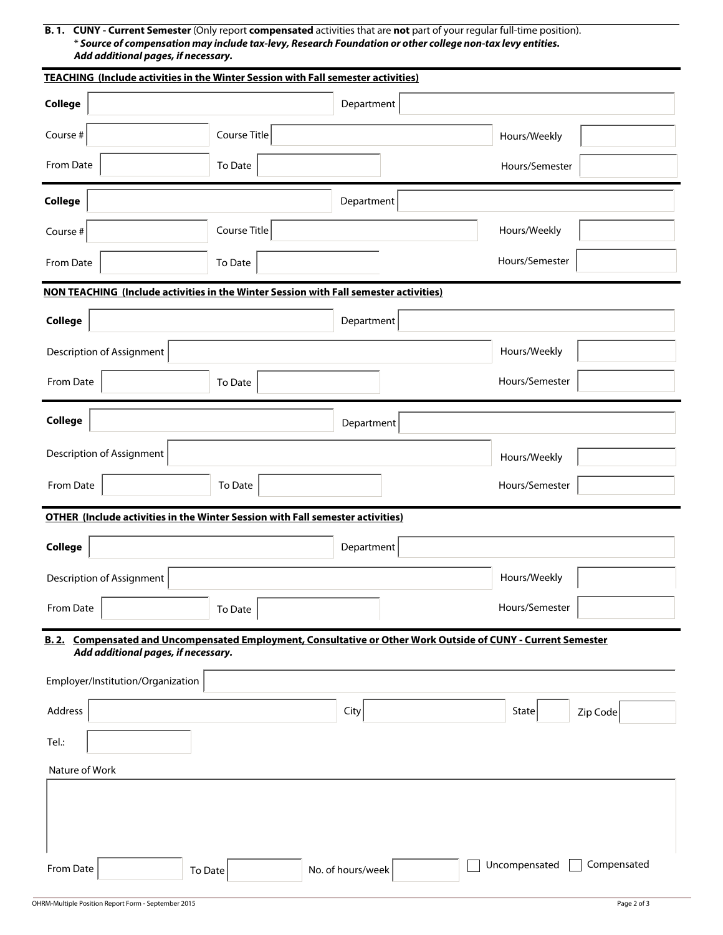**B. 1. CUNY - Current Semester** (Only report **compensated** activities that are **not** part of your regular full-time position). \* *Source of compensation may include tax-levy, Research Foundation or other college non-tax levy entities. Add additional pages, if necessary.*

| <b>TEACHING (Include activities in the Winter Session with Fall semester activities)</b>                                                             |              |                   |                |             |  |
|------------------------------------------------------------------------------------------------------------------------------------------------------|--------------|-------------------|----------------|-------------|--|
| College                                                                                                                                              |              | Department        |                |             |  |
| Course #                                                                                                                                             | Course Title |                   | Hours/Weekly   |             |  |
| From Date                                                                                                                                            | To Date      |                   | Hours/Semester |             |  |
| College                                                                                                                                              |              | Department        |                |             |  |
| Course #                                                                                                                                             | Course Title |                   | Hours/Weekly   |             |  |
| From Date                                                                                                                                            | To Date      |                   | Hours/Semester |             |  |
| NON TEACHING (Include activities in the Winter Session with Fall semester activities)                                                                |              |                   |                |             |  |
| College                                                                                                                                              |              | Department        |                |             |  |
| Description of Assignment                                                                                                                            |              |                   | Hours/Weekly   |             |  |
| From Date                                                                                                                                            | To Date      |                   | Hours/Semester |             |  |
| College                                                                                                                                              |              | Department        |                |             |  |
| Description of Assignment                                                                                                                            |              |                   | Hours/Weekly   |             |  |
| From Date                                                                                                                                            | To Date      |                   | Hours/Semester |             |  |
| <b>OTHER (Include activities in the Winter Session with Fall semester activities)</b>                                                                |              |                   |                |             |  |
| <b>College</b>                                                                                                                                       |              | Department        |                |             |  |
| Description of Assignment                                                                                                                            |              |                   | Hours/Weekly   |             |  |
| From Date                                                                                                                                            | To Date      |                   | Hours/Semester |             |  |
| B. 2. Compensated and Uncompensated Employment, Consultative or Other Work Outside of CUNY - Current Semester<br>Add additional pages, if necessary. |              |                   |                |             |  |
| Employer/Institution/Organization                                                                                                                    |              |                   |                |             |  |
| Address                                                                                                                                              |              | City              | State          | Zip Code    |  |
| Tel.:                                                                                                                                                |              |                   |                |             |  |
| Nature of Work                                                                                                                                       |              |                   |                |             |  |
|                                                                                                                                                      |              |                   |                |             |  |
| From Date<br>To Date                                                                                                                                 |              | No. of hours/week | Uncompensated  | Compensated |  |